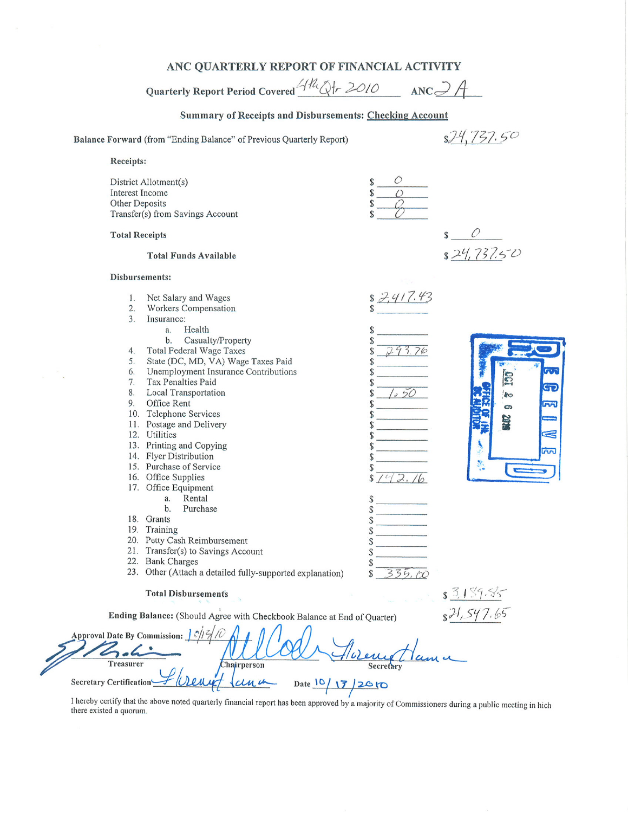## ANC QUARTERLY REPORT OF FINANCIAL ACTIVITY

Quarterly Report Period Covered 4th Qtr 2010  $ANC 3A$ 

## Summary of Receipts and Disbursements: Checking Account

|                                                                   | Balance Forward (from "Ending Balance" of Previous Quarterly Report)                                                                                                                                                                                                                                                                                                                                                                                                                                                                                                                                                                                                                                              |                                                                                      | 37.50                                                                 |
|-------------------------------------------------------------------|-------------------------------------------------------------------------------------------------------------------------------------------------------------------------------------------------------------------------------------------------------------------------------------------------------------------------------------------------------------------------------------------------------------------------------------------------------------------------------------------------------------------------------------------------------------------------------------------------------------------------------------------------------------------------------------------------------------------|--------------------------------------------------------------------------------------|-----------------------------------------------------------------------|
| Receipts:                                                         |                                                                                                                                                                                                                                                                                                                                                                                                                                                                                                                                                                                                                                                                                                                   |                                                                                      |                                                                       |
| Interest Income<br>Other Deposits                                 | District Allotment(s)<br>Transfer(s) from Savings Account                                                                                                                                                                                                                                                                                                                                                                                                                                                                                                                                                                                                                                                         |                                                                                      |                                                                       |
| <b>Total Receipts</b>                                             |                                                                                                                                                                                                                                                                                                                                                                                                                                                                                                                                                                                                                                                                                                                   |                                                                                      |                                                                       |
|                                                                   | <b>Total Funds Available</b>                                                                                                                                                                                                                                                                                                                                                                                                                                                                                                                                                                                                                                                                                      |                                                                                      | 824,737.50                                                            |
| Disbursements:                                                    |                                                                                                                                                                                                                                                                                                                                                                                                                                                                                                                                                                                                                                                                                                                   |                                                                                      |                                                                       |
| 1.<br>2.<br>3.<br>4.<br>5.<br>6.<br>7.<br>8.<br>9.                | Net Salary and Wages<br>Workers Compensation<br>Insurance:<br>Health<br>a.<br>b.<br>Casualty/Property<br>Total Federal Wage Taxes<br>State (DC, MD, VA) Wage Taxes Paid<br>Unemployment Insurance Contributions<br>Tax Penalties Paid<br><b>Local Transportation</b><br>Office Rent<br>10. Telephone Services<br>11. Postage and Delivery<br>12. Utilities<br>13. Printing and Copying<br>14. Flyer Distribution<br>15. Purchase of Service<br>16. Office Supplies<br>17. Office Equipment<br>Rental<br>a.<br>b.<br>Purchase<br>18. Grants<br>19. Training<br>20. Petty Cash Reimbursement<br>21. Transfer(s) to Savings Account<br>22. Bank Charges<br>23. Other (Attach a detailed fully-supported explanation) | \$2,417.43<br>\$<br>293.76<br>\$<br>S<br>\$<br>S<br>2.<br>\$<br>\$<br>\$<br>\$<br>\$ | 552<br>30<br><u>ල</u><br>C/S<br>m<br>စ<br>2018<br>S<br>$\overline{m}$ |
|                                                                   | <b>Total Disbursements</b>                                                                                                                                                                                                                                                                                                                                                                                                                                                                                                                                                                                                                                                                                        |                                                                                      | $-2.512 - 2 =$                                                        |
|                                                                   | Ending Balance: (Should Agree with Checkbook Balance at End of Quarter)                                                                                                                                                                                                                                                                                                                                                                                                                                                                                                                                                                                                                                           |                                                                                      |                                                                       |
| Approval Date By Commission: $J \partial/\partial A$<br>Treasurer | Chairperson                                                                                                                                                                                                                                                                                                                                                                                                                                                                                                                                                                                                                                                                                                       | Secretary                                                                            |                                                                       |
| <b>Secretary Certification</b>                                    | Date $10/17$                                                                                                                                                                                                                                                                                                                                                                                                                                                                                                                                                                                                                                                                                                      | 12610                                                                                |                                                                       |
|                                                                   |                                                                                                                                                                                                                                                                                                                                                                                                                                                                                                                                                                                                                                                                                                                   |                                                                                      |                                                                       |

I hereby certify that the above noted quarterly financial report has been approved by a majority of Commissioners during a public meeting in hich there existed a quorum.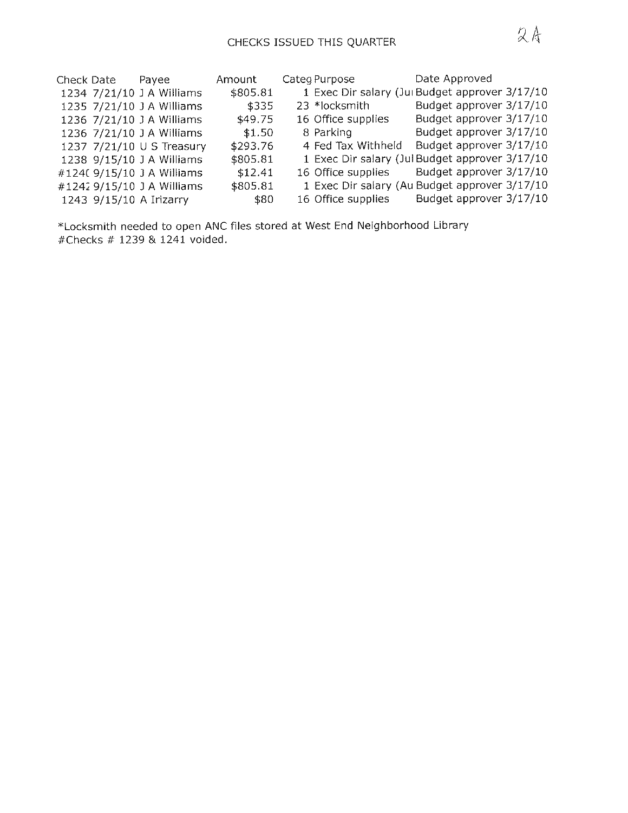| Check Date | Payee                      | Amount   | Categ Purpose      | Date Approved                                  |  |
|------------|----------------------------|----------|--------------------|------------------------------------------------|--|
|            | 1234 7/21/10 J A Williams  | \$805.81 |                    | 1 Exec Dir salary (Jui Budget approver 3/17/10 |  |
|            | 1235 7/21/10 J A Williams  | \$335    | 23 *locksmith      | Budget approver 3/17/10                        |  |
|            | 1236 7/21/10 J A Williams  | \$49.75  | 16 Office supplies | Budget approver 3/17/10                        |  |
|            | 1236 7/21/10 J A Williams  | \$1.50   | 8 Parking          | Budget approver 3/17/10                        |  |
|            | 1237 7/21/10 U S Treasury  | \$293.76 | 4 Fed Tax Withheld | Budget approver 3/17/10                        |  |
|            | 1238 9/15/10 J A Williams  | \$805.81 |                    | 1 Exec Dir salary (Jul Budget approver 3/17/10 |  |
|            | #1240 9/15/10 J A Williams | \$12.41  | 16 Office supplies | Budget approver 3/17/10                        |  |
|            | #1242 9/15/10 J A Williams | \$805.81 |                    | 1 Exec Dir salary (Au Budget approver 3/17/10  |  |
|            | 1243 9/15/10 A Irizarry    | \$80     | 16 Office supplies | Budget approver 3/17/10                        |  |

\*Locksmith needed to open ANC files stored at West End Neighborhood Library #Checks # 1239 & 1241 voided.